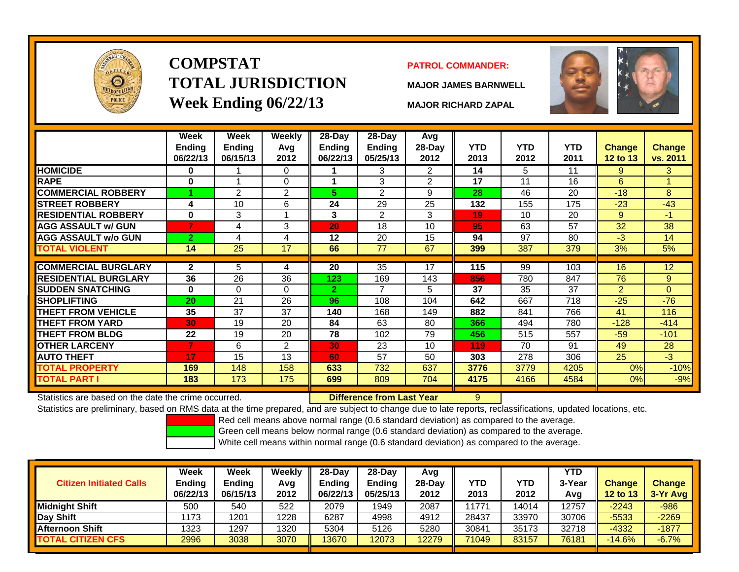

# **COMPSTATTOTAL JURISDICTIONWeek Ending 06/22/13 MAJOR RICHARD ZAPAL**

## **PATROL COMMANDER:**

**MAJOR JAMES BARNWELL**



|                             | Week<br><b>Ending</b><br>06/22/13 | Week<br>Ending<br>06/15/13 | Weekly<br>Avg<br>2012 | $28-Day$<br>Ending<br>06/22/13 | $28-Day$<br>Ending<br>05/25/13 | Avg<br>28-Day<br>2012 | <b>YTD</b><br>2013 | <b>YTD</b><br>2012 | <b>YTD</b><br>2011 | <b>Change</b><br><b>12 to 13</b> | <b>Change</b><br>vs. 2011 |
|-----------------------------|-----------------------------------|----------------------------|-----------------------|--------------------------------|--------------------------------|-----------------------|--------------------|--------------------|--------------------|----------------------------------|---------------------------|
| <b>HOMICIDE</b>             | 0                                 |                            | $\Omega$              |                                | 3                              | $\overline{2}$        | 14                 | 5                  | 11                 | 9                                | 3                         |
| <b>RAPE</b>                 | 0                                 |                            | $\mathbf 0$           |                                | 3                              | $\overline{2}$        | 17                 | 11                 | 16                 | 6                                |                           |
| <b>COMMERCIAL ROBBERY</b>   |                                   | $\overline{2}$             | $\overline{2}$        | 5.                             | $\overline{2}$                 | 9                     | 28                 | 46                 | 20                 | $-18$                            | 8                         |
| <b>STREET ROBBERY</b>       | 4                                 | 10                         | 6                     | 24                             | 29                             | 25                    | 132                | 155                | 175                | $-23$                            | $-43$                     |
| <b>RESIDENTIAL ROBBERY</b>  | $\bf{0}$                          | 3                          |                       | 3                              | $\overline{2}$                 | 3                     | 19                 | 10                 | 20                 | 9                                | -1                        |
| <b>AGG ASSAULT w/ GUN</b>   | 7                                 | 4                          | 3                     | 20                             | 18                             | 10                    | 95                 | 63                 | 57                 | 32                               | 38                        |
| <b>AGG ASSAULT w/o GUN</b>  | $\overline{2}$                    | 4                          | 4                     | 12                             | 20                             | 15                    | 94                 | 97                 | 80                 | -3                               | 14                        |
| TOTAL VIOLENT               | 14                                | 25                         | 17                    | 66                             | 77                             | 67                    | 399                | 387                | 379                | 3%                               | 5%                        |
|                             |                                   |                            |                       |                                |                                |                       |                    |                    |                    |                                  |                           |
| <b>COMMERCIAL BURGLARY</b>  | $\mathbf{2}$                      | 5                          | 4                     | 20                             | 35                             | 17                    | 115                | 99                 | 103                | 16                               | 12                        |
| <b>RESIDENTIAL BURGLARY</b> | 36                                | 26                         | 36                    | 123                            | 169                            | 143                   | 856                | 780                | 847                | 76                               | 9                         |
| <b>SUDDEN SNATCHING</b>     | $\bf{0}$                          | 0                          | $\Omega$              | $\overline{2}$                 | $\overline{7}$                 | 5.                    | 37                 | 35                 | 37                 | $\overline{2}$                   | $\Omega$                  |
| <b>SHOPLIFTING</b>          | 20                                | 21                         | 26                    | 96                             | 108                            | 104                   | 642                | 667                | 718                | $-25$                            | $-76$                     |
| <b>THEFT FROM VEHICLE</b>   | 35                                | 37                         | 37                    | 140                            | 168                            | 149                   | 882                | 841                | 766                | 41                               | 116                       |
| <b>THEFT FROM YARD</b>      | 30                                | 19                         | 20                    | 84                             | 63                             | 80                    | 366                | 494                | 780                | $-128$                           | $-414$                    |
| <b>THEFT FROM BLDG</b>      | 22                                | 19                         | 20                    | 78                             | 102                            | 79                    | 456                | 515                | 557                | $-59$                            | $-101$                    |
| <b>OTHER LARCENY</b>        |                                   | 6                          | 2                     | 30                             | 23                             | 10                    | 119                | 70                 | 91                 | 49                               | 28                        |
| <b>AUTO THEFT</b>           | 17                                | 15                         | 13                    | 60                             | 57                             | 50                    | 303                | 278                | 306                | 25                               | $-3$                      |
| <b>TOTAL PROPERTY</b>       | 169                               | 148                        | 158                   | 633                            | 732                            | 637                   | 3776               | 3779               | 4205               | 0%                               | $-10%$                    |
| TOTAL PART I                | 183                               | 173                        | 175                   | 699                            | 809                            | 704                   | 4175               | 4166               | 4584               | 0%                               | $-9%$                     |

Statistics are based on the date the crime occurred.

**Difference from Last Year** 9

Statistics are preliminary, based on RMS data at the time prepared, and are subject to change due to late reports, reclassifications, updated locations, etc.

Red cell means above normal range (0.6 standard deviation) as compared to the average.

Green cell means below normal range (0.6 standard deviation) as compared to the average.

| <b>Citizen Initiated Calls</b> | Week<br>Ending<br>06/22/13 | <b>Week</b><br><b>Ending</b><br>06/15/13 | Weekly<br>Avg<br>2012 | $28-Dav$<br><b>Endina</b><br>06/22/13 | 28-Day<br><b>Ending</b><br>05/25/13 | Avg<br>$28-Dav$<br>2012 | YTD<br>2013 | YTD<br>2012 | <b>YTD</b><br>3-Year<br>Avg | <b>Change</b><br><b>12 to 13</b> | <b>Change</b><br>3-Yr Avg |
|--------------------------------|----------------------------|------------------------------------------|-----------------------|---------------------------------------|-------------------------------------|-------------------------|-------------|-------------|-----------------------------|----------------------------------|---------------------------|
| Midniaht Shift                 | 500                        | 540                                      | 522                   | 2079                                  | 1949                                | 2087                    | 11771       | 14014       | 12757                       | $-2243$                          | -986                      |
| Day Shift                      | 1173                       | 1201                                     | 1228                  | 6287                                  | 4998                                | 4912                    | 28437       | 33970       | 30706                       | $-5533$                          | $-2269$                   |
| <b>Afternoon Shift</b>         | 1323                       | 1297                                     | 1320                  | 5304                                  | 5126                                | 5280                    | 30841       | 35173       | 32718                       | $-4332$                          | $-1877$                   |
| <b>TOTAL CITIZEN CFS</b>       | 2996                       | 3038                                     | 3070                  | 13670                                 | 12073                               | 12279                   | 71049       | 83157       | 76181                       | $-14.6%$                         | $-6.7%$                   |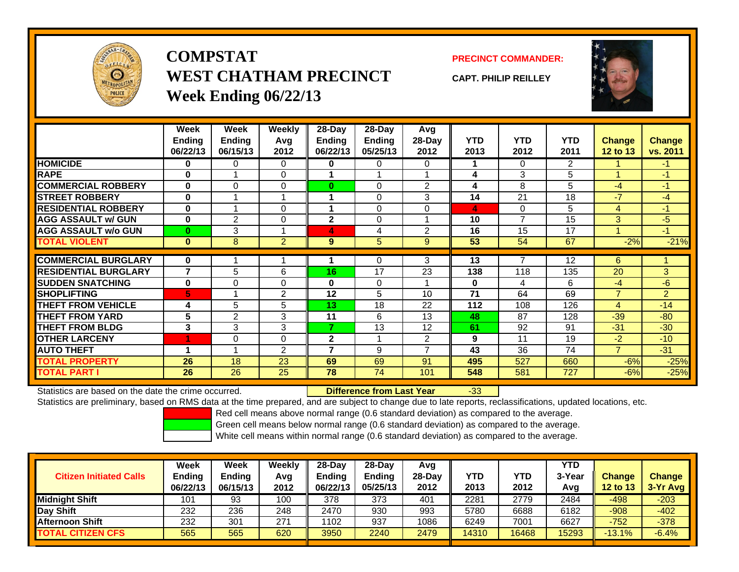

**COMPSTATWEST CHATHAM PRECINCTWeek Ending 06/22/13**

**PRECINCT COMMANDER:**

**CAPT. PHILIP REILLEY**



|                             | Week            | Week           | <b>Weekly</b>  | 28-Day          | 28-Day   | Avg            |            |                |                |                |                |
|-----------------------------|-----------------|----------------|----------------|-----------------|----------|----------------|------------|----------------|----------------|----------------|----------------|
|                             | <b>Ending</b>   | <b>Ending</b>  | Avg            | Ending          | Ending   | 28-Day         | <b>YTD</b> | <b>YTD</b>     | <b>YTD</b>     | <b>Change</b>  | Change         |
|                             | 06/22/13        | 06/15/13       | 2012           | 06/22/13        | 05/25/13 | 2012           | 2013       | 2012           | 2011           | 12 to 13       | vs. 2011       |
| <b>HOMICIDE</b>             | 0               | 0              | 0              | 0               | 0        | 0              |            | $\Omega$       | $\overline{2}$ |                | $-1$           |
| RAPE                        | 0               |                | 0              |                 |          |                | 4          | 3              | 5              | 4              | $-1$           |
| <b>COMMERCIAL ROBBERY</b>   | $\bf{0}$        | $\Omega$       | $\Omega$       | 0               | $\Omega$ | 2              | 4          | 8              | 5              | $-4$           | $-1$           |
| <b>STREET ROBBERY</b>       | 0               |                |                |                 | 0        | 3              | 14         | 21             | 18             | $-7$           | $-4$           |
| <b>RESIDENTIAL ROBBERY</b>  | $\bf{0}$        |                | $\Omega$       |                 | $\Omega$ | $\Omega$       | 4          | $\Omega$       | 5              | $\overline{4}$ | $-1$           |
| <b>AGG ASSAULT w/ GUN</b>   | $\bf{0}$        | $\overline{2}$ | $\Omega$       | $\mathbf 2$     | $\Omega$ |                | 10         | $\overline{7}$ | 15             | 3              | -5             |
| <b>AGG ASSAULT w/o GUN</b>  | $\mathbf{0}$    | 3              |                | 4               | 4        | $\overline{2}$ | 16         | 15             | 17             |                | $-1$           |
| <b>TOTAL VIOLENT</b>        | $\mathbf{0}$    | 8              | $\overline{2}$ | 9               | 5        | 9              | 53         | 54             | 67             | $-2%$          | $-21%$         |
|                             |                 |                |                |                 |          |                |            |                |                |                |                |
| <b>COMMERCIAL BURGLARY</b>  | $\bf{0}$        |                |                |                 | 0        | 3              | 13         |                | 12             | 6              |                |
| <b>RESIDENTIAL BURGLARY</b> | 7               | 5              | 6              | 16              | 17       | 23             | 138        | 118            | 135            | 20             | 3              |
| <b>ISUDDEN SNATCHING</b>    | 0               | $\Omega$       | $\Omega$       | 0               | 0        |                | $\bf{0}$   | 4              | 6              | $-4$           | $-6$           |
| <b>SHOPLIFTING</b>          | 5               |                | $\overline{2}$ | 12              | 5        | 10             | 71         | 64             | 69             | $\overline{7}$ | $\overline{2}$ |
| <b>THEFT FROM VEHICLE</b>   | 4               | 5              | 5              | 13 <sub>1</sub> | 18       | 22             | 112        | 108            | 126            | $\overline{4}$ | $-14$          |
| <b>THEFT FROM YARD</b>      | $5\phantom{.0}$ | $\overline{2}$ | 3              | 11              | 6        | 13             | 48         | 87             | 128            | $-39$          | $-80$          |
| <b>THEFT FROM BLDG</b>      | 3               | 3              | 3              | 7               | 13       | 12             | 61         | 92             | 91             | $-31$          | $-30$          |
| <b>OTHER LARCENY</b>        |                 | 0              | 0              | $\mathbf 2$     |          | $\overline{2}$ | 9          | 11             | 19             | $-2$           | $-10$          |
| <b>AUTO THEFT</b>           |                 |                | $\overline{2}$ | 7               | 9        | $\overline{ }$ | 43         | 36             | 74             | $\overline{7}$ | $-31$          |
| <b>TOTAL PROPERTY</b>       | 26              | 18             | 23             | 69              | 69       | 91             | 495        | 527            | 660            | $-6%$          | $-25%$         |
| <b>TOTAL PART I</b>         | 26              | 26             | 25             | 78              | 74       | 101            | 548        | 581            | 727            | $-6%$          | $-25%$         |

Statistics are based on the date the crime occurred. **Difference from Last Year** 

### r -33

Statistics are preliminary, based on RMS data at the time prepared, and are subject to change due to late reports, reclassifications, updated locations, etc.

Red cell means above normal range (0.6 standard deviation) as compared to the average.

Green cell means below normal range (0.6 standard deviation) as compared to the average.

| <b>Citizen Initiated Calls</b> | Week<br>Ending<br>06/22/13 | Week<br><b>Ending</b><br>06/15/13 | Weekly<br>Avg<br>2012 | 28-Dav<br><b>Endina</b><br>06/22/13 | 28-Dav<br>Endina<br>05/25/13 | Avg<br>$28-Dav$<br>2012 | YTD<br>2013 | YTD<br>2012 | YTD<br>3-Year<br>Avg | <b>Change</b><br><b>12 to 13</b> | <b>Change</b><br>3-Yr Avg |
|--------------------------------|----------------------------|-----------------------------------|-----------------------|-------------------------------------|------------------------------|-------------------------|-------------|-------------|----------------------|----------------------------------|---------------------------|
| <b>Midnight Shift</b>          | 101                        | 93                                | 100                   | 378                                 | 373                          | 401                     | 2281        | 2779        | 2484                 | $-498$                           | $-203$                    |
| Day Shift                      | 232                        | 236                               | 248                   | 2470                                | 930                          | 993                     | 5780        | 6688        | 6182                 | $-908$                           | $-402$                    |
| <b>Afternoon Shift</b>         | 232                        | 301                               | 271                   | 1102                                | 937                          | 1086                    | 6249        | 7001        | 6627                 | $-752$                           | $-378$                    |
| <b>TOTAL CITIZEN CFS</b>       | 565                        | 565                               | 620                   | 3950                                | 2240                         | 2479                    | 14310       | 16468       | 15293                | $-13.1%$                         | $-6.4%$                   |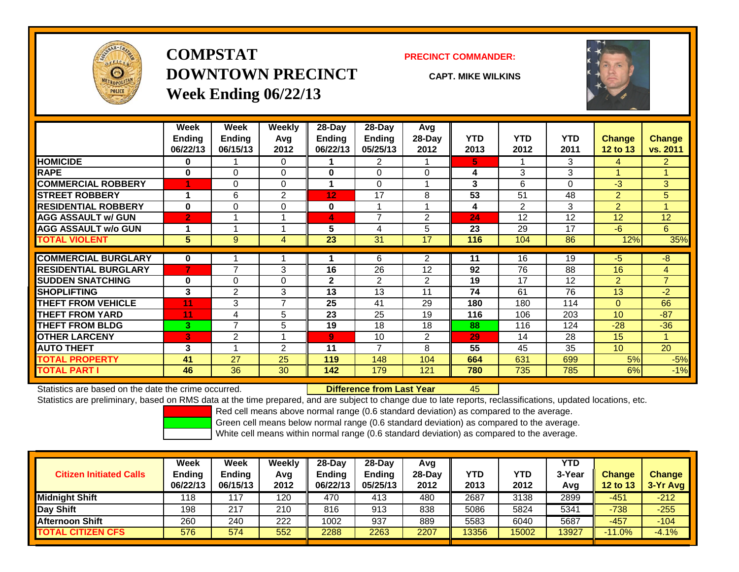

## **COMPSTATDOWNTOWN PRECINCTWeek Ending 06/22/13**

### **PRECINCT COMMANDER:**

**CAPT. MIKE WILKINS**

45



|                             | Week           | Week           | <b>Weekly</b>  | $28-Day$       | $28$ -Day      | Avg            |            |            |            |                 |                |
|-----------------------------|----------------|----------------|----------------|----------------|----------------|----------------|------------|------------|------------|-----------------|----------------|
|                             | <b>Ending</b>  | <b>Ending</b>  | Avg            | Ending         | <b>Ending</b>  | $28$ -Day      | <b>YTD</b> | <b>YTD</b> | <b>YTD</b> | <b>Change</b>   | Change         |
|                             | 06/22/13       | 06/15/13       | 2012           | 06/22/13       | 05/25/13       | 2012           | 2013       | 2012       | 2011       | <b>12 to 13</b> | vs. 2011       |
| <b>HOMICIDE</b>             | 0              |                | 0              |                | $\overline{2}$ |                | 5.         |            | 3          | 4               | $\overline{2}$ |
| <b>RAPE</b>                 | 0              | 0              | $\mathbf 0$    | $\bf{0}$       | $\Omega$       | $\Omega$       | 4          | 3          | 3          |                 |                |
| <b>COMMERCIAL ROBBERY</b>   | 1              | 0              | $\Omega$       |                | $\Omega$       |                | 3          | 6          | 0          | -3              | 3              |
| <b>STREET ROBBERY</b>       |                | 6              | $\overline{2}$ | 12             | 17             | 8              | 53         | 51         | 48         | $\overline{2}$  | 5              |
| <b>RESIDENTIAL ROBBERY</b>  | $\bf{0}$       | 0              | $\mathbf 0$    | $\bf{0}$       | 1              |                | 4          | 2          | 3          | $\overline{2}$  |                |
| <b>AGG ASSAULT w/ GUN</b>   | $\overline{2}$ |                |                | 4              | 7              | $\overline{2}$ | 24         | 12         | 12         | 12              | 12             |
| <b>AGG ASSAULT w/o GUN</b>  |                |                |                | 5              | 4              | 5              | 23         | 29         | 17         | $-6$            | 6              |
| <b>TOTAL VIOLENT</b>        | 5              | 9              | 4              | 23             | 31             | 17             | 116        | 104        | 86         | 12%             | 35%            |
| <b>COMMERCIAL BURGLARY</b>  | $\bf{0}$       |                |                |                | 6              | 2              | 11         | 16         | 19         | -5              | $-8$           |
| <b>RESIDENTIAL BURGLARY</b> | 7              | 7              | 3              | 16             | 26             | 12             | 92         | 76         | 88         | 16              | 4              |
| <b>SUDDEN SNATCHING</b>     | $\bf{0}$       | 0              | $\Omega$       | $\mathbf{2}$   | $\overline{2}$ | $\overline{2}$ | 19         | 17         | 12         | $\overline{2}$  | $\overline{7}$ |
| <b>SHOPLIFTING</b>          | 3              | $\overline{2}$ | 3              | 13             | 13             | 11             | 74         | 61         | 76         | 13              | $-2$           |
| <b>THEFT FROM VEHICLE</b>   | 11             | 3              | $\overline{7}$ | 25             | 41             | 29             | 180        | 180        | 114        | $\Omega$        | 66             |
| <b>THEFT FROM YARD</b>      | 11             | 4              | 5              | 23             | 25             | 19             | 116        | 106        | 203        | 10              | $-87$          |
| <b>THEFT FROM BLDG</b>      | 3              | 7              | 5              | 19             | 18             | 18             | 88         | 116        | 124        | $-28$           | $-36$          |
| <b>OTHER LARCENY</b>        | 3              | 2              |                | $\overline{9}$ | 10             | $\overline{2}$ | 29         | 14         | 28         | 15              |                |
| <b>AUTO THEFT</b>           | 3              |                | $\overline{2}$ | 11             | $\overline{7}$ | 8              | 55         | 45         | 35         | 10              | 20             |
| <b>TOTAL PROPERTY</b>       | 41             | 27             | 25             | 119            | 148            | 104            | 664        | 631        | 699        | 5%              | $-5%$          |
| <b>TOTAL PART I</b>         | 46             | 36             | 30             | 142            | 179            | 121            | 780        | 735        | 785        | 6%              | $-1%$          |

Statistics are based on the date the crime occurred. **Difference from Last Year** 

Statistics are preliminary, based on RMS data at the time prepared, and are subject to change due to late reports, reclassifications, updated locations, etc.

Red cell means above normal range (0.6 standard deviation) as compared to the average.

Green cell means below normal range (0.6 standard deviation) as compared to the average.

| <b>Citizen Initiated Calls</b> | Week<br><b>Ending</b><br>06/22/13 | Week<br>Ending<br>06/15/13 | Weekly<br>Avg<br>2012 | $28-Dav$<br>Ending<br>06/22/13 | $28$ -Dav<br><b>Ending</b><br>05/25/13 | Avg<br>28-Dav<br>2012 | YTD<br>2013 | <b>YTD</b><br>2012 | <b>YTD</b><br>3-Year<br>Avg | <b>Change</b><br>12 to 13 | <b>Change</b><br>$3-Yr$ Avg |
|--------------------------------|-----------------------------------|----------------------------|-----------------------|--------------------------------|----------------------------------------|-----------------------|-------------|--------------------|-----------------------------|---------------------------|-----------------------------|
| <b>Midnight Shift</b>          | 118                               | 117                        | 120                   | 470                            | 413                                    | 480                   | 2687        | 3138               | 2899                        | $-451$                    | $-212$                      |
| Day Shift                      | 198                               | 217                        | 210                   | 816                            | 913                                    | 838                   | 5086        | 5824               | 5341                        | $-738$                    | $-255$                      |
| <b>Afternoon Shift</b>         | 260                               | 240                        | 222                   | 1002                           | 937                                    | 889                   | 5583        | 6040               | 5687                        | $-457$                    | $-104$                      |
| <b>TOTAL CITIZEN CFS</b>       | 576                               | 574                        | 552                   | 2288                           | 2263                                   | 2207                  | 13356       | 15002              | 3927                        | $-11.0%$                  | $-4.1%$                     |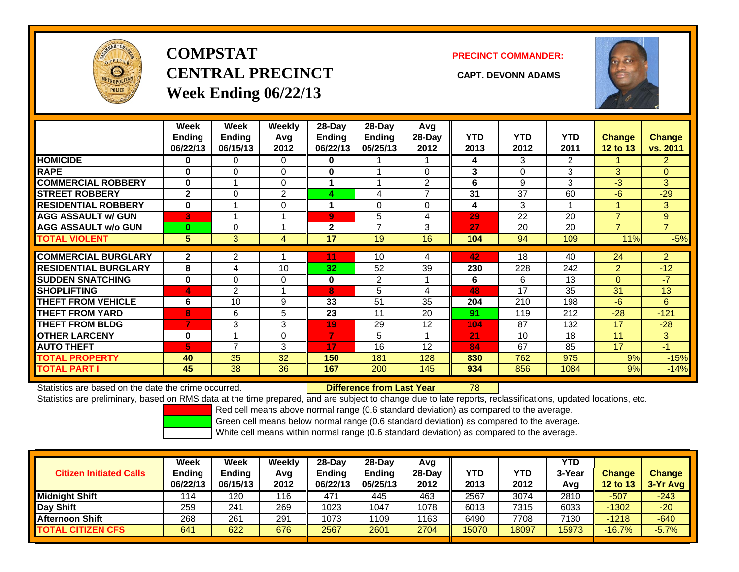

# **COMPSTATCENTRAL PRECINCT CAPT. DEVONN ADAMSWeek Ending 06/22/13**

**PRECINCT COMMANDER:**



|                             | Week<br><b>Ending</b><br>06/22/13 | Week<br><b>Ending</b><br>06/15/13 | <b>Weekly</b><br>Avg<br>2012 | 28-Day<br>Ending<br>06/22/13 | 28-Day<br><b>Ending</b><br>05/25/13 | Avg<br>$28-Day$<br>2012 | <b>YTD</b><br>2013 | <b>YTD</b><br>2012 | <b>YTD</b><br>2011 | <b>Change</b><br>12 to 13 | Change<br>vs. 2011 |
|-----------------------------|-----------------------------------|-----------------------------------|------------------------------|------------------------------|-------------------------------------|-------------------------|--------------------|--------------------|--------------------|---------------------------|--------------------|
| <b>HOMICIDE</b>             | 0                                 | 0                                 | 0                            | 0                            |                                     |                         | 4                  | 3                  | 2                  |                           | $\overline{2}$     |
| <b>RAPE</b>                 | $\bf{0}$                          | $\Omega$                          | $\Omega$                     | 0                            |                                     | 0                       | 3                  | $\Omega$           | 3                  | $\mathbf{3}$              | $\overline{0}$     |
| <b>COMMERCIAL ROBBERY</b>   | $\bf{0}$                          |                                   | $\Omega$                     |                              |                                     | $\overline{2}$          | 6                  | 9                  | 3                  | $-3$                      | 3                  |
| <b>STREET ROBBERY</b>       | $\mathbf{2}$                      | $\Omega$                          | $\overline{2}$               | 4                            | 4                                   | $\overline{ }$          | 31                 | 37                 | 60                 | $-6$                      | $-29$              |
| <b>RESIDENTIAL ROBBERY</b>  | $\bf{0}$                          |                                   | 0                            |                              | $\Omega$                            | $\Omega$                | 4                  | 3                  | 1                  |                           | 3                  |
| <b>AGG ASSAULT w/ GUN</b>   | 3                                 |                                   |                              | 9                            | 5                                   | 4                       | 29                 | 22                 | 20                 | $\overline{7}$            | 9                  |
| <b>AGG ASSAULT w/o GUN</b>  | $\bf{0}$                          | $\Omega$                          | 4                            | $\mathbf{2}$                 | $\overline{7}$                      | 3                       | 27                 | 20                 | 20                 | $\overline{7}$            | $\overline{7}$     |
| <b>TOTAL VIOLENT</b>        | 5                                 | 3                                 | 4                            | 17                           | 19                                  | 16                      | 104                | 94                 | 109                | 11%                       | $-5%$              |
|                             |                                   |                                   |                              |                              |                                     |                         |                    |                    |                    |                           |                    |
| <b>COMMERCIAL BURGLARY</b>  | $\mathbf{2}$                      | 2                                 |                              | 11                           | 10                                  | 4                       | 42                 | 18                 | 40                 | 24                        | $\overline{2}$     |
| <b>RESIDENTIAL BURGLARY</b> | 8                                 | 4                                 | 10                           | 32                           | 52                                  | 39                      | 230                | 228                | 242                | 2                         | $-12$              |
| <b>SUDDEN SNATCHING</b>     | $\bf{0}$                          | $\Omega$                          | $\Omega$                     | 0                            | 2                                   |                         | 6                  | 6                  | 13                 | $\mathbf{0}$              | $-7$               |
| <b>SHOPLIFTING</b>          | $\overline{4}$                    | 2                                 |                              | 8                            | 5                                   | 4                       | 48                 | 17                 | 35                 | 31                        | 13                 |
| <b>THEFT FROM VEHICLE</b>   | 6                                 | 10                                | 9                            | 33                           | 51                                  | 35                      | 204                | 210                | 198                | $-6$                      | 6                  |
| <b>THEFT FROM YARD</b>      | 8                                 | 6                                 | 5                            | 23                           | 11                                  | 20                      | 91                 | 119                | 212                | $-28$                     | $-121$             |
| <b>THEFT FROM BLDG</b>      | $\overline{7}$                    | 3                                 | 3                            | 19                           | 29                                  | 12                      | 104                | 87                 | 132                | 17                        | $-28$              |
| <b>OTHER LARCENY</b>        | $\bf{0}$                          |                                   | $\Omega$                     | 7                            | 5                                   |                         | 21                 | 10                 | 18                 | 11                        | 3 <sup>1</sup>     |
| <b>AUTO THEFT</b>           | 5                                 | 7                                 | 3                            | 17                           | 16                                  | 12                      | 84                 | 67                 | 85                 | 17                        | $-1$               |
| <b>TOTAL PROPERTY</b>       | 40                                | 35                                | 32                           | 150                          | 181                                 | 128                     | 830                | 762                | 975                | 9%                        | $-15%$             |
| <b>TOTAL PART I</b>         | 45                                | 38                                | 36                           | 167                          | 200                                 | 145                     | 934                | 856                | 1084               | 9%                        | $-14%$             |

Statistics are based on the date the crime occurred. **Difference from Last Year** 

78

Statistics are preliminary, based on RMS data at the time prepared, and are subject to change due to late reports, reclassifications, updated locations, etc.

Red cell means above normal range (0.6 standard deviation) as compared to the average.

Green cell means below normal range (0.6 standard deviation) as compared to the average.

| <b>Citizen Initiated Calls</b> | Week<br><b>Ending</b> | Week<br>Ending | Weekly<br>Avg | $28-Dav$<br><b>Ending</b> | 28-Day<br><b>Ending</b> | Avg<br>$28-Day$ | <b>YTD</b> | <b>YTD</b> | <b>YTD</b><br>3-Year | <b>Change</b> | <b>Change</b> |
|--------------------------------|-----------------------|----------------|---------------|---------------------------|-------------------------|-----------------|------------|------------|----------------------|---------------|---------------|
|                                | 06/22/13              | 06/15/13       | 2012          | 06/22/13                  | 05/25/13                | 2012            | 2013       | 2012       | Avg                  | 12 to 13      | $3-Yr$ Avg    |
| <b>Midnight Shift</b>          | 114                   | 120            | 116           | 471                       | 445                     | 463             | 2567       | 3074       | 2810                 | $-507$        | $-243$        |
| Day Shift                      | 259                   | 241            | 269           | 1023                      | 1047                    | 1078            | 6013       | 7315       | 6033                 | -1302         | $-20$         |
| <b>Afternoon Shift</b>         | 268                   | 261            | 291           | 1073                      | 1109                    | 1163            | 6490       | 7708       | 7130                 | $-1218$       | $-640$        |
| <b>TOTAL CITIZEN CFS</b>       | 641                   | 622            | 676           | 2567                      | 2601                    | 2704            | 15070      | 18097      | 5973                 | $-16.7%$      | $-5.7%$       |
|                                |                       |                |               |                           |                         |                 |            |            |                      |               |               |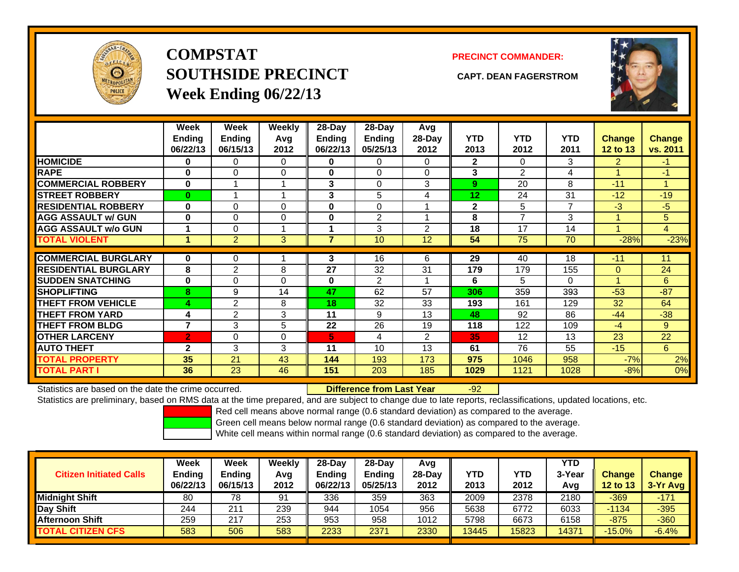

**COMPSTATSOUTHSIDE PRECINCT CAPT. DEAN FAGERSTROMWeek Ending 06/22/13**

## **PRECINCT COMMANDER:**



|                             | Week<br><b>Ending</b><br>06/22/13 | Week<br><b>Ending</b><br>06/15/13 | Weekly<br>Avg<br>2012 | 28-Day<br><b>Ending</b><br>06/22/13 | $28-Day$<br>Ending<br>05/25/13 | Avg<br>$28-Day$<br>2012 | <b>YTD</b><br>2013 | <b>YTD</b><br>2012 | <b>YTD</b><br>2011 | <b>Change</b><br>12 to 13 | <b>Change</b><br>vs. 2011 |
|-----------------------------|-----------------------------------|-----------------------------------|-----------------------|-------------------------------------|--------------------------------|-------------------------|--------------------|--------------------|--------------------|---------------------------|---------------------------|
| <b>HOMICIDE</b>             | 0                                 | 0                                 | 0                     | 0                                   | 0                              | 0                       | $\mathbf{2}$       | 0                  | 3                  | $\overline{2}$            | $-1$                      |
| <b>RAPE</b>                 | 0                                 | 0                                 | 0                     | 0                                   | 0                              | $\Omega$                | 3                  | $\mathfrak{p}$     | 4                  |                           | $-1$                      |
| <b>COMMERCIAL ROBBERY</b>   | $\bf{0}$                          |                                   | $\boldsymbol{A}$      | 3                                   | 0                              | 3                       | 9                  | 20                 | 8                  | $-11$                     | $\overline{A}$            |
| <b>STREET ROBBERY</b>       | $\bf{0}$                          |                                   |                       | 3                                   | 5                              | 4                       | 12                 | 24                 | 31                 | $-12$                     | $-19$                     |
| <b>RESIDENTIAL ROBBERY</b>  | $\bf{0}$                          | 0                                 | 0                     | 0                                   | 0                              |                         | $\mathbf{2}$       | 5                  | 7                  | $-3$                      | $-5$                      |
| <b>AGG ASSAULT w/ GUN</b>   | 0                                 | 0                                 | 0                     | 0                                   | $\overline{2}$                 |                         | 8                  | $\overline{7}$     | 3                  |                           | 5                         |
| <b>AGG ASSAULT w/o GUN</b>  | 1                                 | 0                                 |                       |                                     | 3                              | 2                       | 18                 | 17                 | 14                 |                           | $\overline{4}$            |
| <b>TOTAL VIOLENT</b>        | 1                                 | 2                                 | 3                     | 7                                   | 10                             | 12                      | 54                 | 75                 | 70                 | $-28%$                    | $-23%$                    |
|                             |                                   |                                   |                       |                                     |                                |                         |                    |                    |                    |                           |                           |
| <b>COMMERCIAL BURGLARY</b>  | $\bf{0}$                          | 0                                 |                       | 3                                   | 16                             | 6                       | 29                 | 40                 | 18                 | $-11$                     | 11                        |
| <b>RESIDENTIAL BURGLARY</b> | 8                                 | 2                                 | 8                     | 27                                  | 32                             | 31                      | 179                | 179                | 155                | $\Omega$                  | 24                        |
| <b>SUDDEN SNATCHING</b>     | 0                                 | 0                                 | $\Omega$              | $\bf{0}$                            | $\overline{2}$                 |                         | 6                  | 5                  | 0                  |                           | 6                         |
| <b>SHOPLIFTING</b>          | 8                                 | 9                                 | 14                    | 47                                  | 62                             | 57                      | 306                | 359                | 393                | $-53$                     | $-87$                     |
| <b>THEFT FROM VEHICLE</b>   | 4                                 | 2                                 | 8                     | 18                                  | 32                             | 33                      | 193                | 161                | 129                | 32                        | 64                        |
| <b>THEFT FROM YARD</b>      | 4                                 | 2                                 | 3                     | 11                                  | 9                              | 13                      | 48                 | 92                 | 86                 | $-44$                     | $-38$                     |
| <b>THEFT FROM BLDG</b>      | $\overline{7}$                    | 3                                 | 5                     | 22                                  | 26                             | 19                      | 118                | 122                | 109                | -4                        | 9                         |
| <b>OTHER LARCENY</b>        | $\overline{2}$                    | 0                                 | 0                     | 5                                   | 4                              | 2                       | 35                 | 12                 | 13                 | 23                        | 22                        |
| <b>AUTO THEFT</b>           | $\mathbf{2}$                      | 3                                 | 3                     | 11                                  | 10                             | 13                      | 61                 | 76                 | 55                 | $-15$                     | 6                         |
| <b>TOTAL PROPERTY</b>       | 35                                | 21                                | 43                    | 144                                 | 193                            | 173                     | 975                | 1046               | 958                | $-7%$                     | 2%                        |
| <b>TOTAL PART I</b>         | 36                                | 23                                | 46                    | 151                                 | 203                            | 185                     | 1029               | 1121               | 1028               | $-8%$                     | $0\%$                     |

Statistics are based on the date the crime occurred. **Difference from Last Year** 

-92

Statistics are preliminary, based on RMS data at the time prepared, and are subject to change due to late reports, reclassifications, updated locations, etc.

Red cell means above normal range (0.6 standard deviation) as compared to the average.

Green cell means below normal range (0.6 standard deviation) as compared to the average.

| <b>Ending</b><br>06/22/13 | <b>Week</b><br><b>Ending</b><br>06/15/13 | Weekly<br>Avg<br>2012 | $28-Day$<br>Ending<br>06/22/13 | 28-Dav<br><b>Ending</b><br>05/25/13 | Avq<br>28-Dav<br>2012 | YTD<br>2013 | <b>YTD</b><br>2012 | <b>YTD</b><br>3-Year<br>Avg | <b>Change</b><br><b>12 to 13</b> | <b>Change</b><br>$3-Yr$ Avg |
|---------------------------|------------------------------------------|-----------------------|--------------------------------|-------------------------------------|-----------------------|-------------|--------------------|-----------------------------|----------------------------------|-----------------------------|
| 80                        | 78                                       | 91                    | 336                            | 359                                 | 363                   | 2009        | 2378               | 2180                        | $-369$                           | $-171$                      |
| 244                       | $21^{\circ}$                             | 239                   | 944                            | 1054                                | 956                   | 5638        | 6772               | 6033                        | $-1134$                          | $-395$                      |
| 259                       | 217                                      | 253                   | 953                            | 958                                 | 1012                  | 5798        | 6673               | 6158                        | $-875$                           | $-360$                      |
| 583                       | 506                                      | 583                   | 2233                           | 2371                                | 2330                  | 13445       | 15823              | 14371                       | $-15.0%$                         | $-6.4%$                     |
|                           |                                          |                       |                                |                                     |                       |             |                    |                             |                                  |                             |